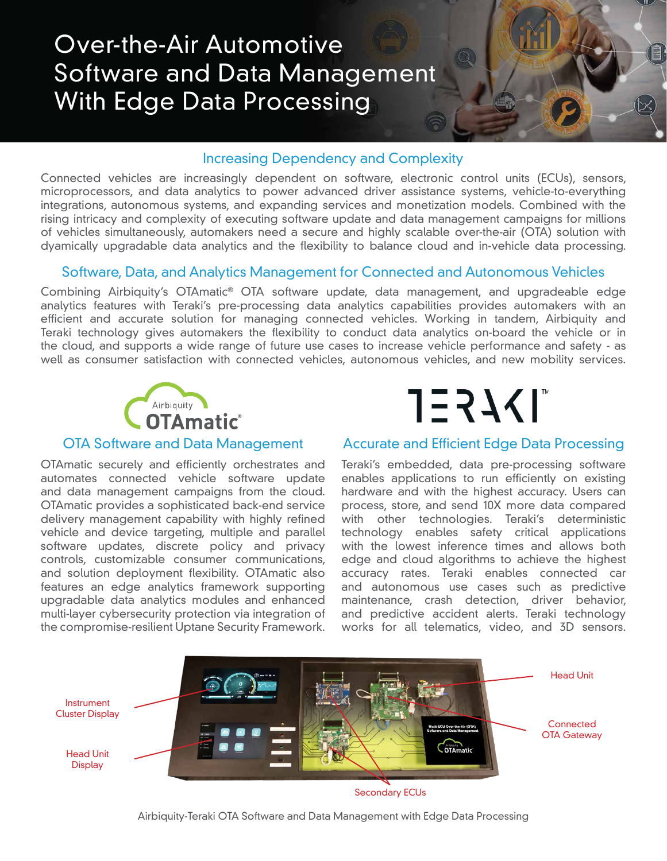# Over-the-Air Automotive Software and Data Management With Edge Data Processing

### Increasing Dependency and Complexity

Connected vehicles are increasingly dependent on software, electronic control units (ECUs), sensors, microprocessors, and data analytics to power advanced driver assistance systems, vehicle-to-everything integrations, autonomous systems, and expanding services and monetization models. Combined with the rising intricacy and complexity of executing software update and data management campaigns for millions of vehicles simultaneously, automakers need a secure and highly scalable over-the-air (OTA) solution with dyamically upgradable data analytics and the flexibility to balance cloud and in-vehicle data processing.

### Software, Data, and Analytics Management for Connected and Autonomous Vehicles

Combining Airbiquity's OTAmatic® OTA software update, data management, and upgradeable edge analytics features with Teraki's pre-processing data analytics capabilities provides automakers with an efficient and accurate solution for managing connected vehicles. Working in tandem, Airbiquity and Teraki technology gives automakers the flexibility to conduct data analytics on-board the vehicle or in the cloud, and supports a wide range of future use cases to increase vehicle performance and safety - as well as consumer satisfaction with connected vehicles, autonomous vehicles, and new mobility services.



OTAmatic securely and efficiently orchestrates and automates connected vehicle software update and data management campaigns from the cloud. OTAmatic provides a sophisticated back-end service delivery management capability with highly refined vehicle and device targeting, multiple and parallel software updates, discrete policy and privacy controls, customizable consumer communications, and solution deployment flexibility. OTAmatic also features an edge analytics framework supporting upgradable data analytics modules and enhanced multi-layer cybersecurity protection via integration of the compromise-resilient Uptane Security Framework.



### OTA Software and Data Management Accurate and Efficient Edge Data Processing

Teraki's embedded, data pre-processing software enables applications to run efficiently on existing hardware and with the highest accuracy. Users can process, store, and send 10X more data compared with other technologies. Teraki's deterministic technology enables safety critical applications with the lowest inference times and allows both edge and cloud algorithms to achieve the highest accuracy rates. Teraki enables connected car and autonomous use cases such as predictive maintenance, crash detection, driver behavior, and predictive accident alerts. Teraki technology works for all telematics, video, and 3D sensors.



Secondary ECUs

Airbiquity-Teraki OTA Software and Data Management with Edge Data Processing